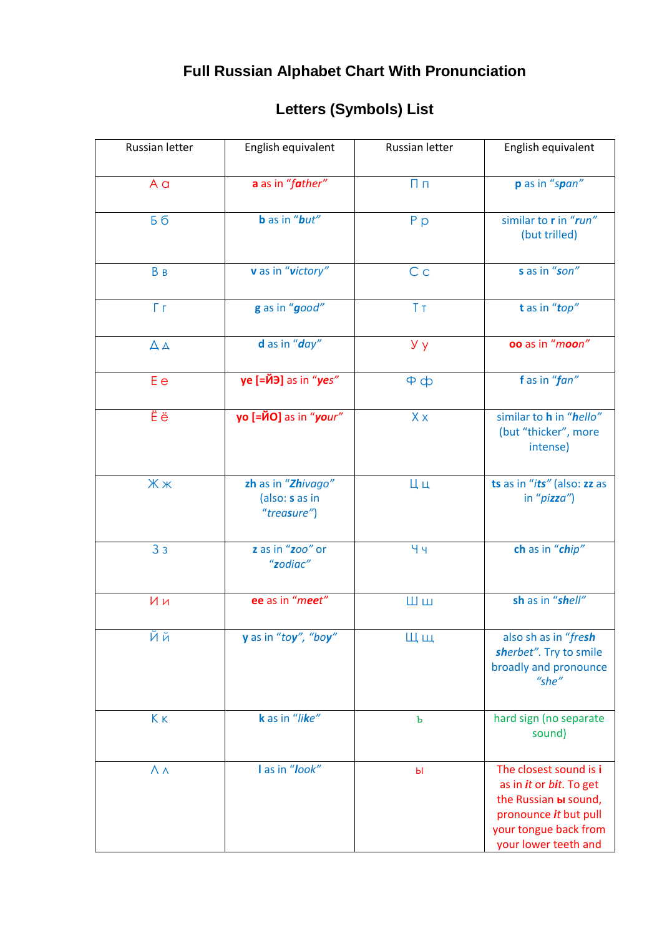## Full Russian Alphabet Chart With Pronunciation

## Letters (Symbols) List

| Russian letter    | English equivalent                                  | Russian letter | English equivalent                                                                                                                                          |
|-------------------|-----------------------------------------------------|----------------|-------------------------------------------------------------------------------------------------------------------------------------------------------------|
| A a               | a as in "father"                                    | $\Pi \Pi$      | p as in "span"                                                                                                                                              |
| Б б               | <b>b</b> as in " <b>but</b> "                       | P p            | similar to r in "run"<br>(but trilled)                                                                                                                      |
| B <sub>B</sub>    | v as in "victory"                                   | C <sub>c</sub> | s as in "son"                                                                                                                                               |
| Fг                | g as in "good"                                      | Tт             | t as in "top"                                                                                                                                               |
| $\Delta A$        | d as in "day"                                       | y y            | oo as in "moon"                                                                                                                                             |
| E e               | ye [=ЙЭ] as in "yes"                                | $\Phi$         | fas in "fan"                                                                                                                                                |
| Ëë                | yo [=ЙО] as in "your"                               | X x            | similar to h in "hello"<br>(but "thicker", more<br>intense)                                                                                                 |
| Жж                | zh as in "Zhivago"<br>(also: s as in<br>"treasure") | Цц             | ts as in "its" (also: zz as<br>in " $p$ izza")                                                                                                              |
| 3 <sub>3</sub>    | z as in "zoo" or<br>"zodiac"                        | Чч             | ch as in "chip"                                                                                                                                             |
| Ии                | ee as in "meet"                                     | Шш             | sh as in "shell"                                                                                                                                            |
| Йй                | y as in "toy", "boy"                                | Щщ             | also sh as in "fresh<br>sherbet". Try to smile<br>broadly and pronounce<br>"she"                                                                            |
| Kк                | k as in "like"                                      | Ъ              | hard sign (no separate<br>sound)                                                                                                                            |
| $\Lambda \Lambda$ | I as in "look"                                      | Ы              | The closest sound is i<br>as in it or bit. To get<br>the Russian <b>bi</b> sound,<br>pronounce it but pull<br>your tongue back from<br>your lower teeth and |